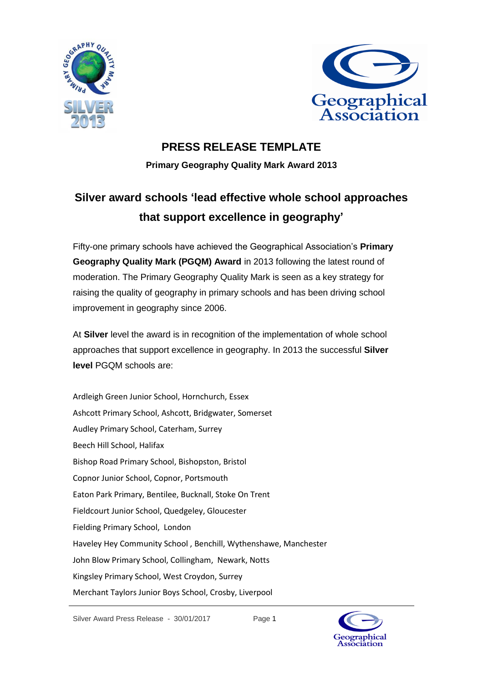



# **PRESS RELEASE TEMPLATE**

**Primary Geography Quality Mark Award 2013**

# **Silver award schools 'lead effective whole school approaches that support excellence in geography'**

Fifty-one primary schools have achieved the Geographical Association's **Primary Geography Quality Mark (PGQM) Award** in 2013 following the latest round of moderation. The Primary Geography Quality Mark is seen as a key strategy for raising the quality of geography in primary schools and has been driving school improvement in geography since 2006.

At **Silver** level the award is in recognition of the implementation of whole school approaches that support excellence in geography. In 2013 the successful **Silver level** PGQM schools are:

Ardleigh Green Junior School, Hornchurch, Essex Ashcott Primary School, Ashcott, Bridgwater, Somerset Audley Primary School, Caterham, Surrey Beech Hill School, Halifax Bishop Road Primary School, Bishopston, Bristol Copnor Junior School, Copnor, Portsmouth Eaton Park Primary, Bentilee, Bucknall, Stoke On Trent Fieldcourt Junior School, Quedgeley, Gloucester Fielding Primary School, London Haveley Hey Community School , Benchill, Wythenshawe, Manchester John Blow Primary School, Collingham, Newark, Notts Kingsley Primary School, West Croydon, Surrey Merchant Taylors Junior Boys School, Crosby, Liverpool

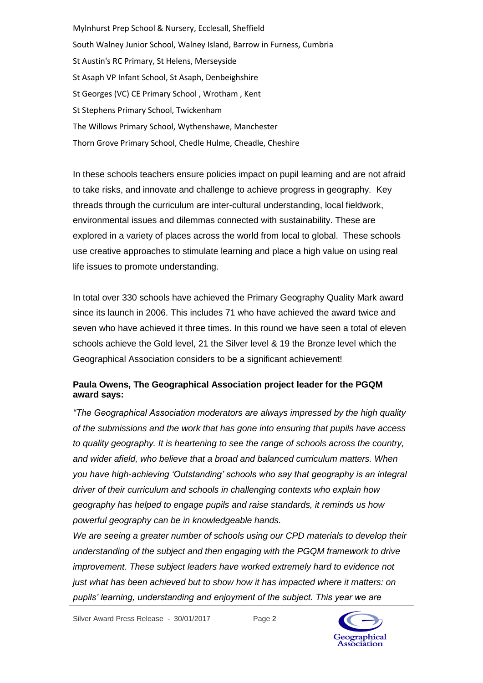Mylnhurst Prep School & Nursery, Ecclesall, Sheffield South Walney Junior School, Walney Island, Barrow in Furness, Cumbria St Austin's RC Primary, St Helens, Merseyside St Asaph VP Infant School, St Asaph, Denbeighshire St Georges (VC) CE Primary School , Wrotham , Kent St Stephens Primary School, Twickenham The Willows Primary School, Wythenshawe, Manchester Thorn Grove Primary School, Chedle Hulme, Cheadle, Cheshire

In these schools teachers ensure policies impact on pupil learning and are not afraid to take risks, and innovate and challenge to achieve progress in geography. Key threads through the curriculum are inter-cultural understanding, local fieldwork, environmental issues and dilemmas connected with sustainability. These are explored in a variety of places across the world from local to global. These schools use creative approaches to stimulate learning and place a high value on using real life issues to promote understanding.

In total over 330 schools have achieved the Primary Geography Quality Mark award since its launch in 2006. This includes 71 who have achieved the award twice and seven who have achieved it three times. In this round we have seen a total of eleven schools achieve the Gold level, 21 the Silver level & 19 the Bronze level which the Geographical Association considers to be a significant achievement!

## **Paula Owens, The Geographical Association project leader for the PGQM award says:**

*"The Geographical Association moderators are always impressed by the high quality of the submissions and the work that has gone into ensuring that pupils have access to quality geography. It is heartening to see the range of schools across the country, and wider afield, who believe that a broad and balanced curriculum matters. When you have high-achieving 'Outstanding' schools who say that geography is an integral driver of their curriculum and schools in challenging contexts who explain how geography has helped to engage pupils and raise standards, it reminds us how powerful geography can be in knowledgeable hands.*

*We are seeing a greater number of schools using our CPD materials to develop their understanding of the subject and then engaging with the PGQM framework to drive improvement. These subject leaders have worked extremely hard to evidence not just what has been achieved but to show how it has impacted where it matters: on pupils' learning, understanding and enjoyment of the subject. This year we are*